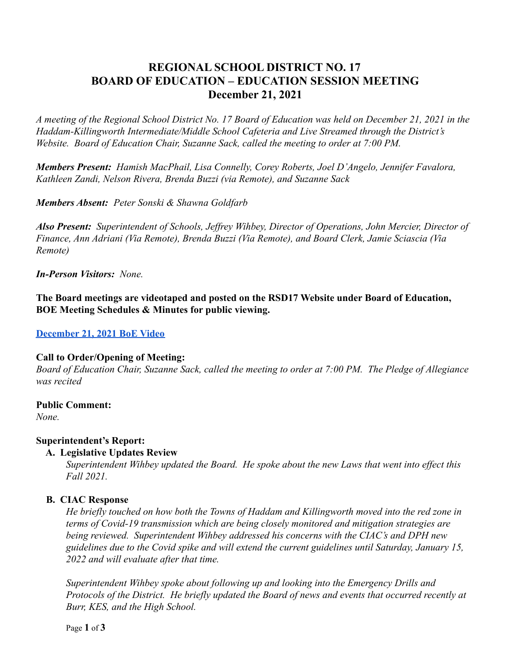# **REGIONAL SCHOOL DISTRICT NO. 17 BOARD OF EDUCATION – EDUCATION SESSION MEETING December 21, 2021**

*A meeting of the Regional School District No. 17 Board of Education was held on December 21, 2021 in the Haddam-Killingworth Intermediate/Middle School Cafeteria and Live Streamed through the District's Website. Board of Education Chair, Suzanne Sack, called the meeting to order at 7:00 PM.*

*Members Present: Hamish MacPhail, Lisa Connelly, Corey Roberts, Joel D'Angelo, Jennifer Favalora, Kathleen Zandi, Nelson Rivera, Brenda Buzzi (via Remote), and Suzanne Sack*

*Members Absent: Peter Sonski & Shawna Goldfarb*

*Also Present: Superintendent of Schools, Jeffrey Wihbey, Director of Operations, John Mercier, Director of Finance, Ann Adriani (Via Remote), Brenda Buzzi (Via Remote), and Board Clerk, Jamie Sciascia (Via Remote)*

*In-Person Visitors: None.*

**The Board meetings are videotaped and posted on the RSD17 Website under Board of Education, BOE Meeting Schedules & Minutes for public viewing.**

### **[December 21, 2021 BoE Video](https://drive.google.com/file/d/1kfOXcyb2jUN5W13Kb7NEtujpAO7jbZPP/view?usp=sharing)**

#### **Call to Order/Opening of Meeting:**

*Board of Education Chair, Suzanne Sack, called the meeting to order at 7:00 PM. The Pledge of Allegiance was recited*

### **Public Comment:**

*None.*

### **Superintendent's Report:**

### **A. Legislative Updates Review**

*Superintendent Wihbey updated the Board. He spoke about the new Laws that went into effect this Fall 2021.*

### **B. CIAC Response**

*He briefly touched on how both the Towns of Haddam and Killingworth moved into the red zone in terms of Covid-19 transmission which are being closely monitored and mitigation strategies are being reviewed. Superintendent Wihbey addressed his concerns with the CIAC's and DPH new guidelines due to the Covid spike and will extend the current guidelines until Saturday, January 15, 2022 and will evaluate after that time.*

*Superintendent Wihbey spoke about following up and looking into the Emergency Drills and Protocols of the District. He briefly updated the Board of news and events that occurred recently at Burr, KES, and the High School.*

Page **1** of **3**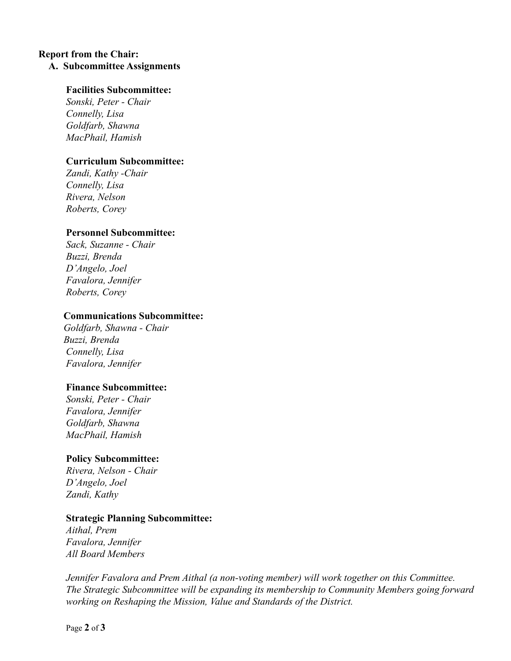# **Report from the Chair: A. Subcommittee Assignments**

### **Facilities Subcommittee:**

*Sonski, Peter - Chair Connelly, Lisa Goldfarb, Shawna MacPhail, Hamish*

### **Curriculum Subcommittee:**

*Zandi, Kathy -Chair Connelly, Lisa Rivera, Nelson Roberts, Corey*

### **Personnel Subcommittee:**

*Sack, Suzanne - Chair Buzzi, Brenda D'Angelo, Joel Favalora, Jennifer Roberts, Corey*

### **Communications Subcommittee:**

*Goldfarb, Shawna - Chair Buzzi, Brenda Connelly, Lisa Favalora, Jennifer*

### **Finance Subcommittee:**

*Sonski, Peter - Chair Favalora, Jennifer Goldfarb, Shawna MacPhail, Hamish*

### **Policy Subcommittee:**

*Rivera, Nelson - Chair D'Angelo, Joel Zandi, Kathy*

### **Strategic Planning Subcommittee:**

*Aithal, Prem Favalora, Jennifer All Board Members*

*Jennifer Favalora and Prem Aithal (a non-voting member) will work together on this Committee. The Strategic Subcommittee will be expanding its membership to Community Members going forward working on Reshaping the Mission, Value and Standards of the District.*